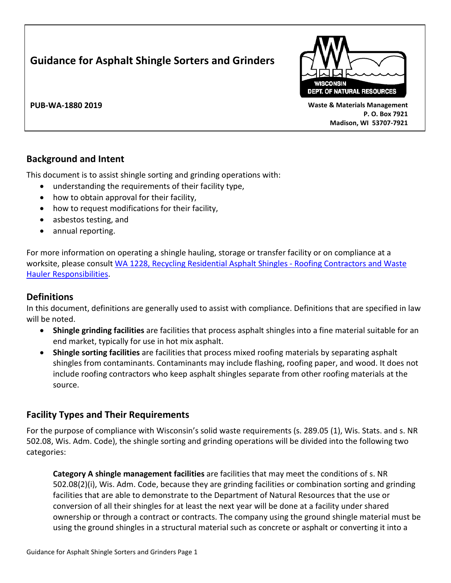# **Guidance for Asphalt Shingle Sorters and Grinders**



**PUB-WA-1880 2019 Waste & Materials Management P. O. Box 7921 Madison, WI 53707-7921**

# **Background and Intent**

This document is to assist shingle sorting and grinding operations with:

- understanding the requirements of their facility type,
- how to obtain approval for their facility,
- how to request modifications for their facility,
- asbestos testing, and
- annual reporting.

For more information on operating a shingle hauling, storage or transfer facility or on compliance at a worksite, please consult WA 1228, [Recycling Residential Asphalt Shingles -](https://dnr.wi.gov/files/pdf/pubs/wa/wa1228.pdf) Roofing Contractors and Waste [Hauler Responsibilities.](https://dnr.wi.gov/files/pdf/pubs/wa/wa1228.pdf)

# **Definitions**

In this document, definitions are generally used to assist with compliance. Definitions that are specified in law will be noted.

- **Shingle grinding facilities** are facilities that process asphalt shingles into a fine material suitable for an end market, typically for use in hot mix asphalt.
- **Shingle sorting facilities** are facilities that process mixed roofing materials by separating asphalt shingles from contaminants. Contaminants may include flashing, roofing paper, and wood. It does not include roofing contractors who keep asphalt shingles separate from other roofing materials at the source.

# **Facility Types and Their Requirements**

For the purpose of compliance with Wisconsin's solid waste requirements (s. 289.05 (1), Wis. Stats. and s. NR 502.08, Wis. Adm. Code), the shingle sorting and grinding operations will be divided into the following two categories:

**Category A shingle management facilities** are facilities that may meet the conditions of s. NR 502.08(2)(i), Wis. Adm. Code, because they are grinding facilities or combination sorting and grinding facilities that are able to demonstrate to the Department of Natural Resources that the use or conversion of all their shingles for at least the next year will be done at a facility under shared ownership or through a contract or contracts. The company using the ground shingle material must be using the ground shingles in a structural material such as concrete or asphalt or converting it into a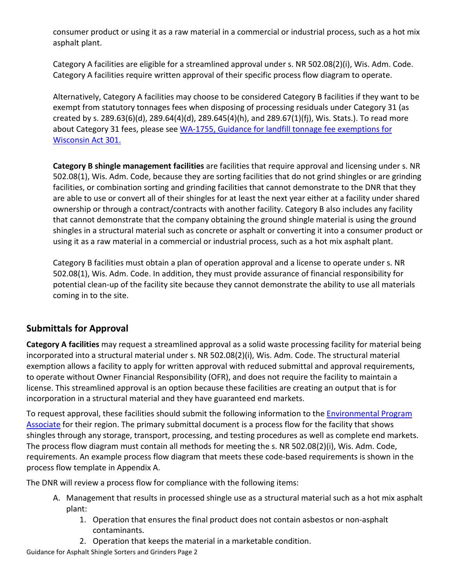consumer product or using it as a raw material in a commercial or industrial process, such as a hot mix asphalt plant.

Category A facilities are eligible for a streamlined approval under s. NR 502.08(2)(i), Wis. Adm. Code. Category A facilities require written approval of their specific process flow diagram to operate.

Alternatively, Category A facilities may choose to be considered Category B facilities if they want to be exempt from statutory tonnages fees when disposing of processing residuals under Category 31 (as created by s. 289.63(6)(d), 289.64(4)(d), 289.645(4)(h), and 289.67(1)(fj), Wis. Stats.). To read more about Category 31 fees, please see [WA-1755, Guidance for landfill tonnage fee exemptions](https://dnr.wi.gov/news/input/documents/guidance/WA1755.pdf) for [Wisconsin Act 301.](https://dnr.wi.gov/news/input/documents/guidance/WA1755.pdf)

**Category B shingle management facilities** are facilities that require approval and licensing under s. NR 502.08(1), Wis. Adm. Code, because they are sorting facilities that do not grind shingles or are grinding facilities, or combination sorting and grinding facilities that cannot demonstrate to the DNR that they are able to use or convert all of their shingles for at least the next year either at a facility under shared ownership or through a contract/contracts with another facility. Category B also includes any facility that cannot demonstrate that the company obtaining the ground shingle material is using the ground shingles in a structural material such as concrete or asphalt or converting it into a consumer product or using it as a raw material in a commercial or industrial process, such as a hot mix asphalt plant.

Category B facilities must obtain a plan of operation approval and a license to operate under s. NR 502.08(1), Wis. Adm. Code. In addition, they must provide assurance of financial responsibility for potential clean-up of the facility site because they cannot demonstrate the ability to use all materials coming in to the site.

# <span id="page-1-0"></span>**Submittals for Approval**

**Category A facilities** may request a streamlined approval as a solid waste processing facility for material being incorporated into a structural material under s. NR 502.08(2)(i), Wis. Adm. Code. The structural material exemption allows a facility to apply for written approval with reduced submittal and approval requirements, to operate without Owner Financial Responsibility (OFR), and does not require the facility to maintain a license. This streamlined approval is an option because these facilities are creating an output that is for incorporation in a structural material and they have guaranteed end markets.

To request approval, these facilities should submit the following information to the [Environmental Program](https://dnr.wi.gov/topic/Waste/EPAs.html)  [Associate](https://dnr.wi.gov/topic/Waste/EPAs.html) for their region. The primary submittal document is a process flow for the facility that shows shingles through any storage, transport, processing, and testing procedures as well as complete end markets. The process flow diagram must contain all methods for meeting the s. NR 502.08(2)(i), Wis. Adm. Code, requirements. An example process flow diagram that meets these code-based requirements is shown in the process flow template in Appendix A.

The DNR will review a process flow for compliance with the following items:

- A. Management that results in processed shingle use as a structural material such as a hot mix asphalt plant:
	- 1. Operation that ensures the final product does not contain asbestos or non-asphalt contaminants.
	- 2. Operation that keeps the material in a marketable condition.

Guidance for Asphalt Shingle Sorters and Grinders Page 2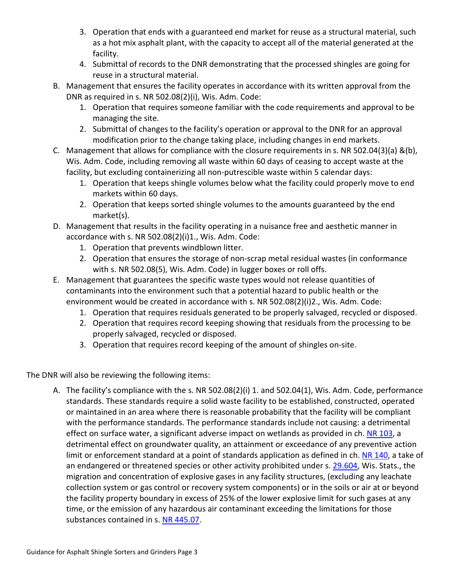- 3. Operation that ends with a guaranteed end market for reuse as a structural material, such as a hot mix asphalt plant, with the capacity to accept all of the material generated at the facility.
- 4. Submittal of records to the DNR demonstrating that the processed shingles are going for reuse in a structural material.
- B. Management that ensures the facility operates in accordance with its written approval from the DNR as required in s. NR 502.08(2)(i), Wis. Adm. Code:
	- 1. Operation that requires someone familiar with the code requirements and approval to be managing the site.
	- 2. Submittal of changes to the facility's operation or approval to the DNR for an approval modification prior to the change taking place, including changes in end markets.
- C. Management that allows for compliance with the closure requirements in s. NR 502.04(3)(a) &(b), Wis. Adm. Code, including removing all waste within 60 days of ceasing to accept waste at the facility, but excluding containerizing all non-putrescible waste within 5 calendar days:
	- 1. Operation that keeps shingle volumes below what the facility could properly move to end markets within 60 days.
	- 2. Operation that keeps sorted shingle volumes to the amounts guaranteed by the end market(s).
- D. Management that results in the facility operating in a nuisance free and aesthetic manner in accordance with s. NR 502.08(2)(i)1., Wis. Adm. Code:
	- 1. Operation that prevents windblown litter.
	- 2. Operation that ensures the storage of non-scrap metal residual wastes (in conformance with s. NR 502.08(5), Wis. Adm. Code) in lugger boxes or roll offs.
- E. Management that guarantees the specific waste types would not release quantities of contaminants into the environment such that a potential hazard to public health or the environment would be created in accordance with s. NR 502.08(2)(i)2., Wis. Adm. Code:
	- 1. Operation that requires residuals generated to be properly salvaged, recycled or disposed.
	- 2. Operation that requires record keeping showing that residuals from the processing to be properly salvaged, recycled or disposed.
	- 3. Operation that requires record keeping of the amount of shingles on-site.

The DNR will also be reviewing the following items:

A. The facility's compliance with the s. NR 502.08(2)(i) 1. and 502.04(1), Wis. Adm. Code, performance standards. These standards require a solid waste facility to be established, constructed, operated or maintained in an area where there is reasonable probability that the facility will be compliant with the performance standards. The performance standards include not causing: a detrimental effect on surface water, a significant adverse impact on wetlands as provided in ch. [NR 103,](https://docs.legis.wisconsin.gov/document/administrativecode/ch.%20NR%20103) a detrimental effect on groundwater quality, an attainment or exceedance of any preventive action limit or enforcement standard at a point of standards application as defined in ch. [NR 140,](https://docs.legis.wisconsin.gov/document/administrativecode/ch.%20NR%20140) a take of an endangered or threatened species or other activity prohibited under s. [29.604,](https://docs.legis.wisconsin.gov/document/statutes/29.604) Wis. Stats., the migration and concentration of explosive gases in any facility structures, (excluding any leachate collection system or gas control or recovery system components) or in the soils or air at or beyond the facility property boundary in excess of 25% of the lower explosive limit for such gases at any time, or the emission of any hazardous air contaminant exceeding the limitations for those substances contained in s. [NR 445.07.](https://docs.legis.wisconsin.gov/document/administrativecode/NR%20445.07)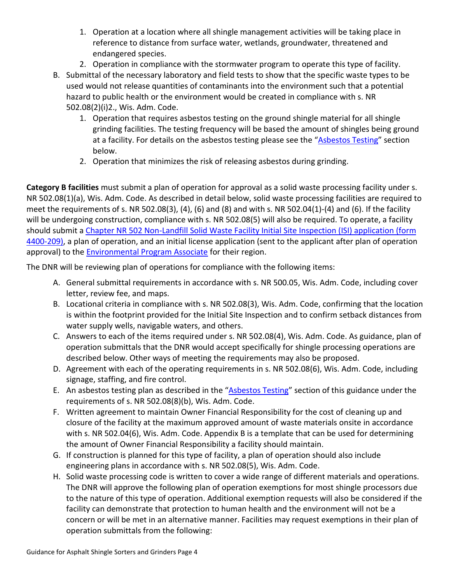- 1. Operation at a location where all shingle management activities will be taking place in reference to distance from surface water, wetlands, groundwater, threatened and endangered species.
- 2. Operation in compliance with the stormwater program to operate this type of facility.
- B. Submittal of the necessary laboratory and field tests to show that the specific waste types to be used would not release quantities of contaminants into the environment such that a potential hazard to public health or the environment would be created in compliance with s. NR 502.08(2)(i)2., Wis. Adm. Code.
	- 1. Operation that requires asbestos testing on the ground shingle material for all shingle grinding facilities. The testing frequency will be based the amount of shingles being ground at a facility. For details on the asbestos testing please see the ["Asbestos Testing"](#page-4-0) section below.
	- 2. Operation that minimizes the risk of releasing asbestos during grinding.

**Category B facilities** must submit a plan of operation for approval as a solid waste processing facility under s. NR 502.08(1)(a), Wis. Adm. Code. As described in detail below, solid waste processing facilities are required to meet the requirements of s. NR 502.08(3), (4), (6) and (8) and with s. NR 502.04(1)-(4) and (6). If the facility will be undergoing construction, compliance with s. NR 502.08(5) will also be required. To operate, a facility should submit a [Chapter NR 502 Non-Landfill Solid Waste Facility Initial Site Inspection](https://dnr.wi.gov/files/PDF/forms/4400/4400-209.pdf) (ISI) application (form [4400-209\),](https://dnr.wi.gov/files/PDF/forms/4400/4400-209.pdf) a plan of operation, and an initial license application (sent to the applicant after plan of operation approval) to the [Environmental Program Associate](https://dnr.wi.gov/topic/Waste/EPAs.html) for their region.

The DNR will be reviewing plan of operations for compliance with the following items:

- A. General submittal requirements in accordance with s. NR 500.05, Wis. Adm. Code, including cover letter, review fee, and maps.
- B. Locational criteria in compliance with s. NR 502.08(3), Wis. Adm. Code, confirming that the location is within the footprint provided for the Initial Site Inspection and to confirm setback distances from water supply wells, navigable waters, and others.
- C. Answers to each of the items required under s. NR 502.08(4), Wis. Adm. Code. As guidance, plan of operation submittals that the DNR would accept specifically for shingle processing operations are described below. Other ways of meeting the requirements may also be proposed.
- D. Agreement with each of the operating requirements in s. NR 502.08(6), Wis. Adm. Code, including signage, staffing, and fire control.
- E. An asbestos testing plan as described in the ["Asbestos Testing"](#page-4-0) section of this guidance under the requirements of s. NR 502.08(8)(b), Wis. Adm. Code.
- F. Written agreement to maintain Owner Financial Responsibility for the cost of cleaning up and closure of the facility at the maximum approved amount of waste materials onsite in accordance with s. NR 502.04(6), Wis. Adm. Code. Appendix B is a template that can be used for determining the amount of Owner Financial Responsibility a facility should maintain.
- G. If construction is planned for this type of facility, a plan of operation should also include engineering plans in accordance with s. NR 502.08(5), Wis. Adm. Code.
- H. Solid waste processing code is written to cover a wide range of different materials and operations. The DNR will approve the following plan of operation exemptions for most shingle processors due to the nature of this type of operation. Additional exemption requests will also be considered if the facility can demonstrate that protection to human health and the environment will not be a concern or will be met in an alternative manner. Facilities may request exemptions in their plan of operation submittals from the following: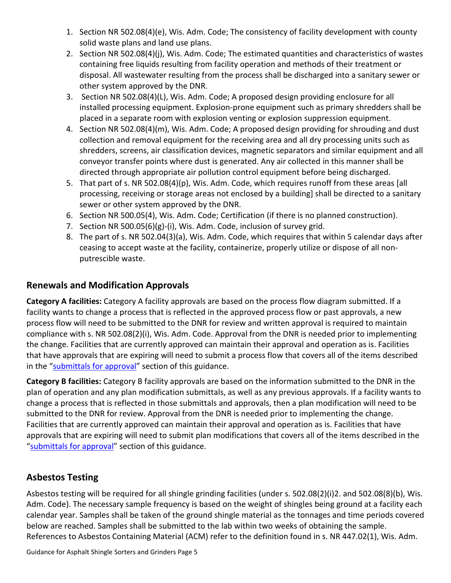- 1. Section NR 502.08(4)(e), Wis. Adm. Code; The consistency of facility development with county solid waste plans and land use plans.
- 2. Section NR 502.08(4)(j), Wis. Adm. Code; The estimated quantities and characteristics of wastes containing free liquids resulting from facility operation and methods of their treatment or disposal. All wastewater resulting from the process shall be discharged into a sanitary sewer or other system approved by the DNR.
- 3. Section NR 502.08(4)(L), Wis. Adm. Code; A proposed design providing enclosure for all installed processing equipment. Explosion-prone equipment such as primary shredders shall be placed in a separate room with explosion venting or explosion suppression equipment.
- 4. Section NR 502.08(4)(m), Wis. Adm. Code; A proposed design providing for shrouding and dust collection and removal equipment for the receiving area and all dry processing units such as shredders, screens, air classification devices, magnetic separators and similar equipment and all conveyor transfer points where dust is generated. Any air collected in this manner shall be directed through appropriate air pollution control equipment before being discharged.
- 5. That part of s. NR 502.08(4)(p), Wis. Adm. Code, which requires runoff from these areas [all processing, receiving or storage areas not enclosed by a building] shall be directed to a sanitary sewer or other system approved by the DNR.
- 6. Section NR 500.05(4), Wis. Adm. Code; Certification (if there is no planned construction).
- 7. Section NR 500.05(6)(g)-(i), Wis. Adm. Code, inclusion of survey grid.
- 8. The part of s. NR 502.04(3)(a), Wis. Adm. Code, which requires that within 5 calendar days after ceasing to accept waste at the facility, containerize, properly utilize or dispose of all nonputrescible waste.

# **Renewals and Modification Approvals**

**Category A facilities:** Category A facility approvals are based on the process flow diagram submitted. If a facility wants to change a process that is reflected in the approved process flow or past approvals, a new process flow will need to be submitted to the DNR for review and written approval is required to maintain compliance with s. NR 502.08(2)(i), Wis. Adm. Code. Approval from the DNR is needed prior to implementing the change. Facilities that are currently approved can maintain their approval and operation as is. Facilities that have approvals that are expiring will need to submit a process flow that covers all of the items described in the ["submittals for approval"](#page-1-0) section of this guidance.

**Category B facilities:** Category B facility approvals are based on the information submitted to the DNR in the plan of operation and any plan modification submittals, as well as any previous approvals. If a facility wants to change a process that is reflected in those submittals and approvals, then a plan modification will need to be submitted to the DNR for review. Approval from the DNR is needed prior to implementing the change. Facilities that are currently approved can maintain their approval and operation as is. Facilities that have approvals that are expiring will need to submit plan modifications that covers all of the items described in the ["submittals for approval"](#page-1-0) section of this guidance.

# <span id="page-4-0"></span>**Asbestos Testing**

Asbestos testing will be required for all shingle grinding facilities (under s. 502.08(2)(i)2. and 502.08(8)(b), Wis. Adm. Code). The necessary sample frequency is based on the weight of shingles being ground at a facility each calendar year. Samples shall be taken of the ground shingle material as the tonnages and time periods covered below are reached. Samples shall be submitted to the lab within two weeks of obtaining the sample. References to Asbestos Containing Material (ACM) refer to the definition found in s. NR 447.02(1), Wis. Adm.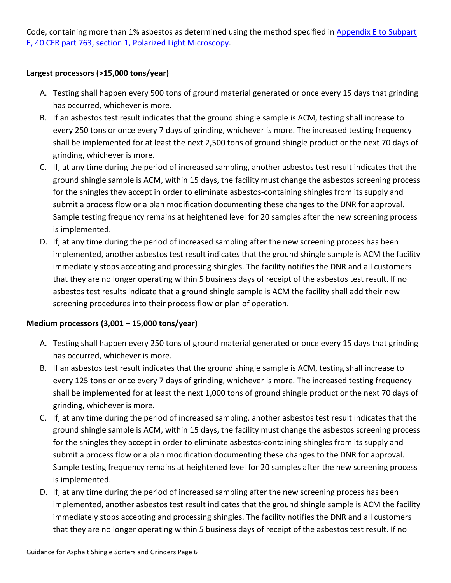Code, containing more than 1% asbestos as determined using the method specified in [Appendix E to Subpart](https://www.ecfr.gov/cgi-bin/text-idx?node=pt40.1.763#ap40.34.763_199.e)  [E, 40 CFR part 763, section 1, Polarized Light Microscopy.](https://www.ecfr.gov/cgi-bin/text-idx?node=pt40.1.763#ap40.34.763_199.e)

#### **Largest processors (>15,000 tons/year)**

- A. Testing shall happen every 500 tons of ground material generated or once every 15 days that grinding has occurred, whichever is more.
- B. If an asbestos test result indicates that the ground shingle sample is ACM, testing shall increase to every 250 tons or once every 7 days of grinding, whichever is more. The increased testing frequency shall be implemented for at least the next 2,500 tons of ground shingle product or the next 70 days of grinding, whichever is more.
- C. If, at any time during the period of increased sampling, another asbestos test result indicates that the ground shingle sample is ACM, within 15 days, the facility must change the asbestos screening process for the shingles they accept in order to eliminate asbestos-containing shingles from its supply and submit a process flow or a plan modification documenting these changes to the DNR for approval. Sample testing frequency remains at heightened level for 20 samples after the new screening process is implemented.
- D. If, at any time during the period of increased sampling after the new screening process has been implemented, another asbestos test result indicates that the ground shingle sample is ACM the facility immediately stops accepting and processing shingles. The facility notifies the DNR and all customers that they are no longer operating within 5 business days of receipt of the asbestos test result. If no asbestos test results indicate that a ground shingle sample is ACM the facility shall add their new screening procedures into their process flow or plan of operation.

#### **Medium processors (3,001 – 15,000 tons/year)**

- A. Testing shall happen every 250 tons of ground material generated or once every 15 days that grinding has occurred, whichever is more.
- B. If an asbestos test result indicates that the ground shingle sample is ACM, testing shall increase to every 125 tons or once every 7 days of grinding, whichever is more. The increased testing frequency shall be implemented for at least the next 1,000 tons of ground shingle product or the next 70 days of grinding, whichever is more.
- C. If, at any time during the period of increased sampling, another asbestos test result indicates that the ground shingle sample is ACM, within 15 days, the facility must change the asbestos screening process for the shingles they accept in order to eliminate asbestos-containing shingles from its supply and submit a process flow or a plan modification documenting these changes to the DNR for approval. Sample testing frequency remains at heightened level for 20 samples after the new screening process is implemented.
- D. If, at any time during the period of increased sampling after the new screening process has been implemented, another asbestos test result indicates that the ground shingle sample is ACM the facility immediately stops accepting and processing shingles. The facility notifies the DNR and all customers that they are no longer operating within 5 business days of receipt of the asbestos test result. If no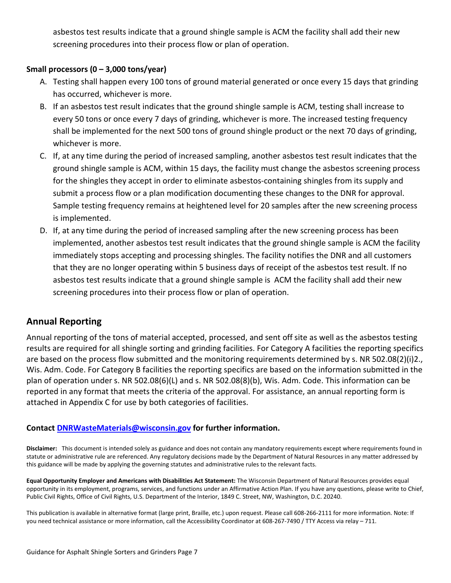asbestos test results indicate that a ground shingle sample is ACM the facility shall add their new screening procedures into their process flow or plan of operation.

#### **Small processors (0 – 3,000 tons/year)**

- A. Testing shall happen every 100 tons of ground material generated or once every 15 days that grinding has occurred, whichever is more.
- B. If an asbestos test result indicates that the ground shingle sample is ACM, testing shall increase to every 50 tons or once every 7 days of grinding, whichever is more. The increased testing frequency shall be implemented for the next 500 tons of ground shingle product or the next 70 days of grinding, whichever is more.
- C. If, at any time during the period of increased sampling, another asbestos test result indicates that the ground shingle sample is ACM, within 15 days, the facility must change the asbestos screening process for the shingles they accept in order to eliminate asbestos-containing shingles from its supply and submit a process flow or a plan modification documenting these changes to the DNR for approval. Sample testing frequency remains at heightened level for 20 samples after the new screening process is implemented.
- D. If, at any time during the period of increased sampling after the new screening process has been implemented, another asbestos test result indicates that the ground shingle sample is ACM the facility immediately stops accepting and processing shingles. The facility notifies the DNR and all customers that they are no longer operating within 5 business days of receipt of the asbestos test result. If no asbestos test results indicate that a ground shingle sample is ACM the facility shall add their new screening procedures into their process flow or plan of operation.

# **Annual Reporting**

Annual reporting of the tons of material accepted, processed, and sent off site as well as the asbestos testing results are required for all shingle sorting and grinding facilities. For Category A facilities the reporting specifics are based on the process flow submitted and the monitoring requirements determined by s. NR 502.08(2)(i)2., Wis. Adm. Code. For Category B facilities the reporting specifics are based on the information submitted in the plan of operation under s. NR 502.08(6)(L) and s. NR 502.08(8)(b), Wis. Adm. Code. This information can be reported in any format that meets the criteria of the approval. For assistance, an annual reporting form is attached in Appendix C for use by both categories of facilities.

#### **Contact [DNRWasteMaterials@wisconsin.gov](mailto:DNRWasteMaterials@wisconsin.gov) for further information.**

**Disclaimer:** This document is intended solely as guidance and does not contain any mandatory requirements except where requirements found in statute or administrative rule are referenced. Any regulatory decisions made by the Department of Natural Resources in any matter addressed by this guidance will be made by applying the governing statutes and administrative rules to the relevant facts.

**Equal Opportunity Employer and Americans with Disabilities Act Statement:** The Wisconsin Department of Natural Resources provides equal opportunity in its employment, programs, services, and functions under an Affirmative Action Plan. If you have any questions, please write to Chief, Public Civil Rights, Office of Civil Rights, U.S. Department of the Interior, 1849 C. Street, NW, Washington, D.C. 20240.

This publication is available in alternative format (large print, Braille, etc.) upon request. Please call 608-266-2111 for more information. Note: If you need technical assistance or more information, call the Accessibility Coordinator at 608-267-7490 / TTY Access via relay – 711.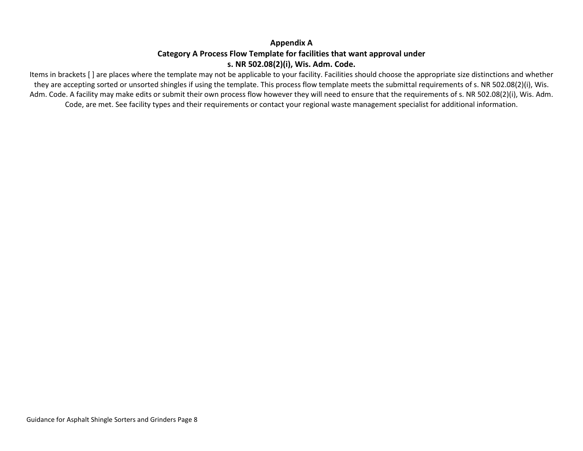### **Appendix A Category A Process Flow Template for facilities that want approval under s. NR 502.08(2)(i), Wis. Adm. Code.**

Items in brackets [ ] are places where the template may not be applicable to your facility. Facilities should choose the appropriate size distinctions and whether they are accepting sorted or unsorted shingles if using the template. This process flow template meets the submittal requirements of s. NR 502.08(2)(i), Wis. Adm. Code. A facility may make edits or submit their own process flow however they will need to ensure that the requirements of s. NR 502.08(2)(i), Wis. Adm. Code, are met. See facility types and their requirements or contact your regional waste management specialist for additional information.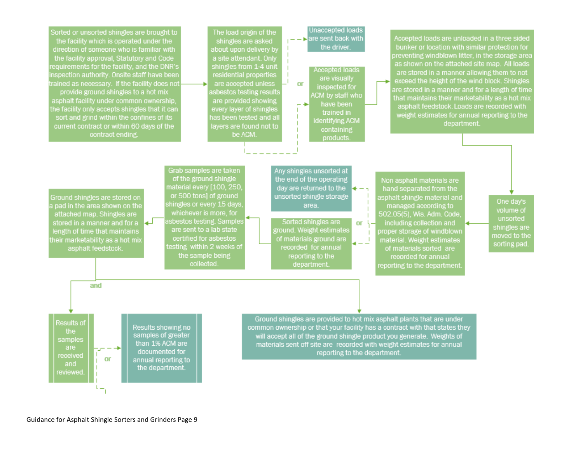

Guidance for Asphalt Shingle Sorters and Grinders Page 9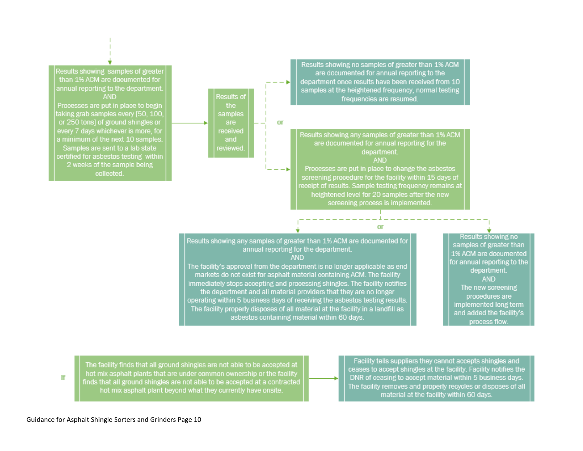

The facility finds that all ground shingles are not able to be accepted at hot mix asphalt plants that are under common ownership or the facility finds that all ground shingles are not able to be accepted at a contracted hot mix asphalt plant beyond what they currently have onsite.

Facility tells suppliers they cannot accepts shingles and ceases to accept shingles at the facility. Facility notifies the DNR of ceasing to accept material within 5 business days. The facility removes and properly recycles or disposes of all material at the facility within 60 days.

lf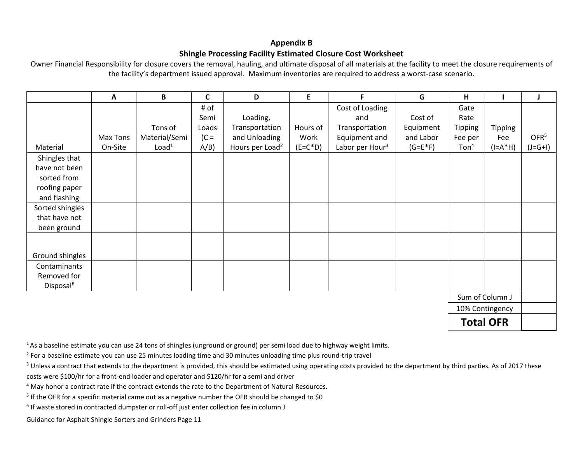#### **Appendix B Shingle Processing Facility Estimated Closure Cost Worksheet**

Owner Financial Responsibility for closure covers the removal, hauling, and ultimate disposal of all materials at the facility to meet the closure requirements of the facility's department issued approval. Maximum inventories are required to address a worst-case scenario.

|                       | A                | B                 | C      | D                           | E.         | F.                          | G         | н                   |                 | J                |
|-----------------------|------------------|-------------------|--------|-----------------------------|------------|-----------------------------|-----------|---------------------|-----------------|------------------|
|                       |                  |                   | # of   |                             |            | Cost of Loading             |           | Gate                |                 |                  |
|                       |                  |                   | Semi   | Loading,                    |            | and                         | Cost of   | Rate                |                 |                  |
|                       |                  | Tons of           | Loads  | Transportation              | Hours of   | Transportation              | Equipment | <b>Tipping</b>      | <b>Tipping</b>  |                  |
|                       | Max Tons         | Material/Semi     | $(C =$ | and Unloading               | Work       | Equipment and               | and Labor | Fee per             | Fee             | OFR <sup>5</sup> |
| Material              | On-Site          | Load <sup>1</sup> | A/B)   | Hours per Load <sup>2</sup> | $(E=C^*D)$ | Labor per Hour <sup>3</sup> | $(G=E*F)$ | $T$ on <sup>4</sup> | $(I=A^*H)$      | $(J=G+1)$        |
| Shingles that         |                  |                   |        |                             |            |                             |           |                     |                 |                  |
| have not been         |                  |                   |        |                             |            |                             |           |                     |                 |                  |
| sorted from           |                  |                   |        |                             |            |                             |           |                     |                 |                  |
| roofing paper         |                  |                   |        |                             |            |                             |           |                     |                 |                  |
| and flashing          |                  |                   |        |                             |            |                             |           |                     |                 |                  |
| Sorted shingles       |                  |                   |        |                             |            |                             |           |                     |                 |                  |
| that have not         |                  |                   |        |                             |            |                             |           |                     |                 |                  |
| been ground           |                  |                   |        |                             |            |                             |           |                     |                 |                  |
|                       |                  |                   |        |                             |            |                             |           |                     |                 |                  |
| Ground shingles       |                  |                   |        |                             |            |                             |           |                     |                 |                  |
| Contaminants          |                  |                   |        |                             |            |                             |           |                     |                 |                  |
| Removed for           |                  |                   |        |                             |            |                             |           |                     |                 |                  |
| Disposal <sup>6</sup> |                  |                   |        |                             |            |                             |           |                     |                 |                  |
|                       | Sum of Column J  |                   |        |                             |            |                             |           |                     |                 |                  |
|                       |                  |                   |        |                             |            |                             |           |                     | 10% Contingency |                  |
|                       | <b>Total OFR</b> |                   |        |                             |            |                             |           |                     |                 |                  |

 $1/4$ S a baseline estimate you can use 24 tons of shingles (unground or ground) per semi load due to highway weight limits.

- <sup>3</sup> Unless a contract that extends to the department is provided, this should be estimated using operating costs provided to the department by third parties. As of 2017 these costs were \$100/hr for a front-end loader and operator and \$120/hr for a semi and driver
- <sup>4</sup> May honor a contract rate if the contract extends the rate to the Department of Natural Resources.
- <sup>5</sup> If the OFR for a specific material came out as a negative number the OFR should be changed to \$0
- <sup>6</sup> If waste stored in contracted dumpster or roll-off just enter collection fee in column J
- Guidance for Asphalt Shingle Sorters and Grinders Page 11

<sup>&</sup>lt;sup>2</sup> For a baseline estimate you can use 25 minutes loading time and 30 minutes unloading time plus round-trip travel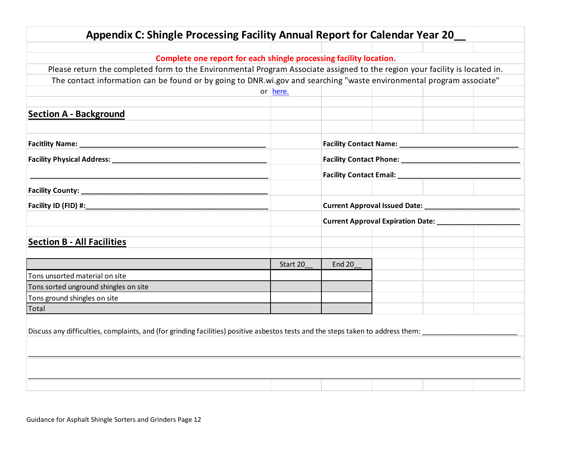| Appendix C: Shingle Processing Facility Annual Report for Calendar Year 20                                                       |          |                                                           |                                               |  |  |
|----------------------------------------------------------------------------------------------------------------------------------|----------|-----------------------------------------------------------|-----------------------------------------------|--|--|
|                                                                                                                                  |          |                                                           |                                               |  |  |
| Complete one report for each shingle processing facility location.                                                               |          |                                                           |                                               |  |  |
| Please return the completed form to the Environmental Program Associate assigned to the region your facility is located in.      |          |                                                           |                                               |  |  |
| The contact information can be found or by going to DNR.wi.gov and searching "waste environmental program associate"             |          |                                                           |                                               |  |  |
|                                                                                                                                  | or here. |                                                           |                                               |  |  |
|                                                                                                                                  |          |                                                           |                                               |  |  |
| <b>Section A - Background</b>                                                                                                    |          |                                                           |                                               |  |  |
|                                                                                                                                  |          |                                                           |                                               |  |  |
|                                                                                                                                  |          | Facility Contact Name: _____________________              |                                               |  |  |
|                                                                                                                                  |          |                                                           |                                               |  |  |
|                                                                                                                                  |          |                                                           | Facility Contact Email: _____________________ |  |  |
|                                                                                                                                  |          |                                                           |                                               |  |  |
|                                                                                                                                  |          | Current Approval Expiration Date: _______________________ |                                               |  |  |
|                                                                                                                                  |          |                                                           |                                               |  |  |
|                                                                                                                                  |          |                                                           |                                               |  |  |
| <b>Section B - All Facilities</b>                                                                                                |          |                                                           |                                               |  |  |
|                                                                                                                                  |          |                                                           |                                               |  |  |
|                                                                                                                                  | Start 20 | <b>End 20</b>                                             |                                               |  |  |
| Tons unsorted material on site                                                                                                   |          |                                                           |                                               |  |  |
| Tons sorted unground shingles on site                                                                                            |          |                                                           |                                               |  |  |
| Tons ground shingles on site<br>Total                                                                                            |          |                                                           |                                               |  |  |
|                                                                                                                                  |          |                                                           |                                               |  |  |
| Discuss any difficulties, complaints, and (for grinding facilities) positive asbestos tests and the steps taken to address them: |          |                                                           |                                               |  |  |
|                                                                                                                                  |          |                                                           |                                               |  |  |
|                                                                                                                                  |          |                                                           |                                               |  |  |
|                                                                                                                                  |          |                                                           |                                               |  |  |
|                                                                                                                                  |          |                                                           |                                               |  |  |